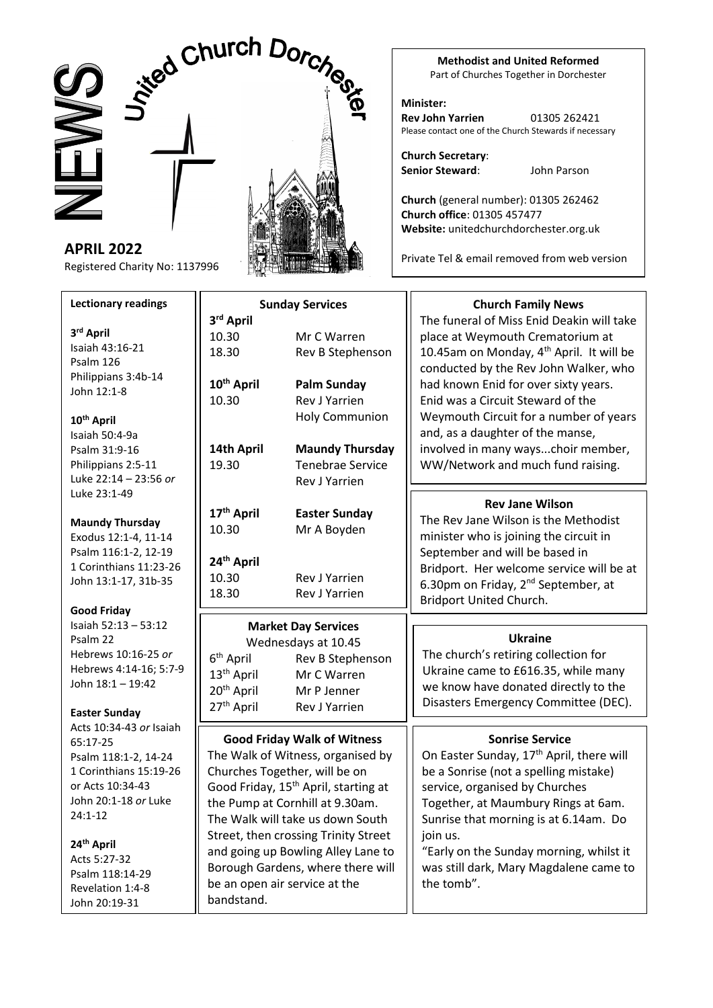# Sized Church Dorch

**APRIL 2022** Registered Charity No: 1137996

## **Lectionary readings**

**3 rd April** Isaiah 43:16-21 Psalm 126 Philippians 3:4b-14 John 12:1-8

# **10th April** Isaiah 50:4-9a Psalm 31:9-16

Philippians 2:5-11 Luke 22:14 – 23:56 *or* Luke 23:1-49

## **Maundy Thursday** Exodus 12:1-4, 11-14 Psalm 116:1-2, 12-19 1 Corinthians 11:23-26 John 13:1-17, 31b-35

**Good Friday** Isaiah 52:13 – 53:12 Psalm 22 Hebrews 10:16-25 *or* Hebrews 4:14-16; 5:7-9 John 18:1 – 19:42

# **Easter Sunday**

Acts 10:34-43 *or* Isaiah 65:17-25 Psalm 118:1-2, 14-24 1 Corinthians 15:19-26 or Acts 10:34-43 John 20:1-18 *or* Luke 24:1-12

## **24th April** Acts 5:27-32 Psalm 118:14-29 Revelation 1:4-8 John 20:19-31

bandstand.

|  | <b>CITES</b> |  |
|--|--------------|--|
|  |              |  |
|  |              |  |
|  |              |  |
|  |              |  |

#### **Sunday Services 3 rd April** 10.30 Mr C Warren 18.30 Rev B Stephenson **10th April Palm Sunday** 10.30 Rev J Yarrien Holy Communion **14th April Maundy Thursday** 19.30 Tenebrae Service Rev J Yarrien **17th April Easter Sunday** 10.30 Mr A Boyden **24th April** 10.30 Rev J Yarrien 18.30 Rev J Yarrien **Market Day Services** Wednesdays at 10.45 6<sup>th</sup> April Rev B Stephenson 13<sup>th</sup> April Mr C Warren 20th April Mr P Jenner 27<sup>th</sup> April Rev J Yarrien **Church Family News**  place at Weymouth Crematorium at 10.45am on Monday,  $4<sup>th</sup>$  April. It will be conducted by the Rev John Walker, who had known Enid for over sixty years. Enid was a Circuit Steward of the and, as a daughter of the manse, involved in many ways...choir member, WW/Network and much fund raising. **Good Friday Walk of Witness** The Walk of Witness, organised by Churches Together, will be on Good Friday, 15<sup>th</sup> April, starting at the Pump at Cornhill at 9.30am. The Walk will take us down South Street, then crossing Trinity Street and going up Bowling Alley Lane to Borough Gardens, where there will be an open air service at the **Sonrise Service** On Easter Sunday, 17<sup>th</sup> April, there will be a Sonrise (not a spelling mistake) service, organised by Churches Together, at Maumbury Rings at 6am. Sunrise that morning is at 6.14am. Do join us. "Early on the Sunday morning, whilst it was still dark, Mary Magdalene came to **Rev Jane Wilson** The Rev Jane Wilson is the Methodist minister who is joining the circuit in September and will be based in Bridport. Her welcome service will be at 6.30pm on Friday, 2nd September, at Bridport United Church. **Ukraine** The church's retiring collection for Ukraine came to £616.35, while many we know have donated directly to the Disasters Emergency Committee (DEC).

**Methodist and United Reformed** Part of Churches Together in Dorchester

#### **Minister: Rev John Yarrien** 01305 262421 Please contact one of the Church Stewards if necessary

**Church Secretary**: **Senior Steward**: John Parson

**Church** (general number): 01305 262462 **Church office**: 01305 457477 **Website:** unitedchurchdorchester.org.uk

Private Tel & email removed from web version

The funeral of Miss Enid Deakin will take Weymouth Circuit for a number of years

the tomb".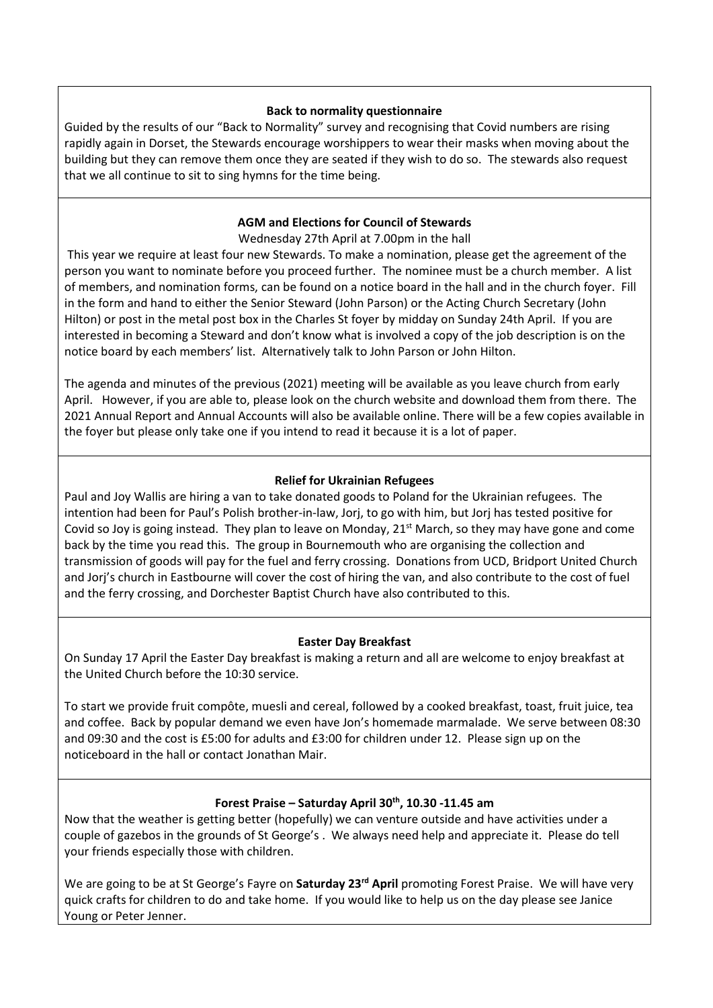## **Back to normality questionnaire**

Guided by the results of our "Back to Normality" survey and recognising that Covid numbers are rising rapidly again in Dorset, the Stewards encourage worshippers to wear their masks when moving about the building but they can remove them once they are seated if they wish to do so. The stewards also request that we all continue to sit to sing hymns for the time being.

# **AGM and Elections for Council of Stewards**

Wednesday 27th April at 7.00pm in the hall

This year we require at least four new Stewards. To make a nomination, please get the agreement of the person you want to nominate before you proceed further. The nominee must be a church member. A list of members, and nomination forms, can be found on a notice board in the hall and in the church foyer. Fill in the form and hand to either the Senior Steward (John Parson) or the Acting Church Secretary (John Hilton) or post in the metal post box in the Charles St foyer by midday on Sunday 24th April. If you are interested in becoming a Steward and don't know what is involved a copy of the job description is on the notice board by each members' list. Alternatively talk to John Parson or John Hilton.

The agenda and minutes of the previous (2021) meeting will be available as you leave church from early April. However, if you are able to, please look on the church website and download them from there. The 2021 Annual Report and Annual Accounts will also be available online. There will be a few copies available in the foyer but please only take one if you intend to read it because it is a lot of paper.

# **Relief for Ukrainian Refugees**

Paul and Joy Wallis are hiring a van to take donated goods to Poland for the Ukrainian refugees. The intention had been for Paul's Polish brother-in-law, Jorj, to go with him, but Jorj has tested positive for Covid so Joy is going instead. They plan to leave on Monday,  $21<sup>st</sup>$  March, so they may have gone and come back by the time you read this. The group in Bournemouth who are organising the collection and transmission of goods will pay for the fuel and ferry crossing. Donations from UCD, Bridport United Church and Jorj's church in Eastbourne will cover the cost of hiring the van, and also contribute to the cost of fuel and the ferry crossing, and Dorchester Baptist Church have also contributed to this.

# **Easter Day Breakfast**

On Sunday 17 April the Easter Day breakfast is making a return and all are welcome to enjoy breakfast at the United Church before the 10:30 service.

To start we provide fruit compôte, muesli and cereal, followed by a cooked breakfast, toast, fruit juice, tea and coffee. Back by popular demand we even have Jon's homemade marmalade. We serve between 08:30 and 09:30 and the cost is £5:00 for adults and £3:00 for children under 12. Please sign up on the noticeboard in the hall or contact Jonathan Mair.

# **Forest Praise – Saturday April 30th, 10.30 -11.45 am**

Now that the weather is getting better (hopefully) we can venture outside and have activities under a couple of gazebos in the grounds of St George's . We always need help and appreciate it. Please do tell your friends especially those with children.

We are going to be at St George's Fayre on **Saturday 23rd April** promoting Forest Praise. We will have very quick crafts for children to do and take home. If you would like to help us on the day please see Janice Young or Peter Jenner.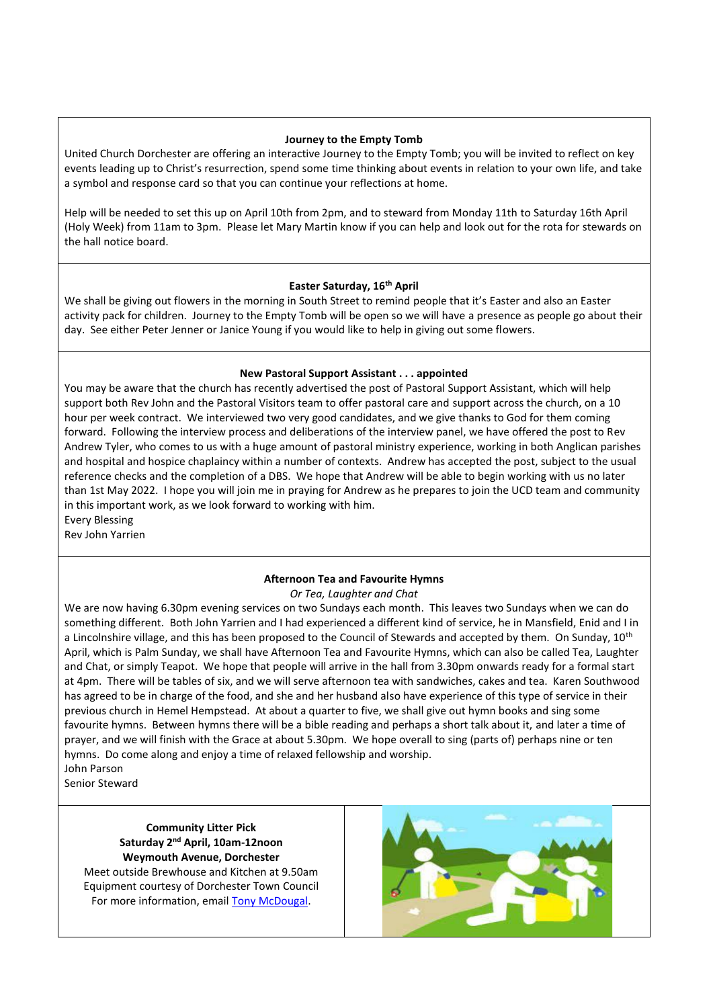#### **Journey to the Empty Tomb**

United Church Dorchester are offering an interactive Journey to the Empty Tomb; you will be invited to reflect on key events leading up to Christ's resurrection, spend some time thinking about events in relation to your own life, and take a symbol and response card so that you can continue your reflections at home.

Help will be needed to set this up on April 10th from 2pm, and to steward from Monday 11th to Saturday 16th April (Holy Week) from 11am to 3pm. Please let Mary Martin know if you can help and look out for the rota for stewards on the hall notice board.

#### **Easter Saturday, 16th April**

We shall be giving out flowers in the morning in South Street to remind people that it's Easter and also an Easter activity pack for children. Journey to the Empty Tomb will be open so we will have a presence as people go about their day. See either Peter Jenner or Janice Young if you would like to help in giving out some flowers.

#### **New Pastoral Support Assistant . . . appointed**

You may be aware that the church has recently advertised the post of Pastoral Support Assistant, which will help support both Rev John and the Pastoral Visitors team to offer pastoral care and support across the church, on a 10 hour per week contract. We interviewed two very good candidates, and we give thanks to God for them coming forward. Following the interview process and deliberations of the interview panel, we have offered the post to Rev Andrew Tyler, who comes to us with a huge amount of pastoral ministry experience, working in both Anglican parishes and hospital and hospice chaplaincy within a number of contexts. Andrew has accepted the post, subject to the usual reference checks and the completion of a DBS. We hope that Andrew will be able to begin working with us no later than 1st May 2022. I hope you will join me in praying for Andrew as he prepares to join the UCD team and community in this important work, as we look forward to working with him.

Every Blessing Rev John Yarrien

## **Afternoon Tea and Favourite Hymns**

*Or Tea, Laughter and Chat*

We are now having 6.30pm evening services on two Sundays each month. This leaves two Sundays when we can do something different. Both John Yarrien and I had experienced a different kind of service, he in Mansfield, Enid and I in a Lincolnshire village, and this has been proposed to the Council of Stewards and accepted by them. On Sunday, 10<sup>th</sup> April, which is Palm Sunday, we shall have Afternoon Tea and Favourite Hymns, which can also be called Tea, Laughter and Chat, or simply Teapot. We hope that people will arrive in the hall from 3.30pm onwards ready for a formal start at 4pm. There will be tables of six, and we will serve afternoon tea with sandwiches, cakes and tea. Karen Southwood has agreed to be in charge of the food, and she and her husband also have experience of this type of service in their previous church in Hemel Hempstead. At about a quarter to five, we shall give out hymn books and sing some favourite hymns. Between hymns there will be a bible reading and perhaps a short talk about it, and later a time of prayer, and we will finish with the Grace at about 5.30pm. We hope overall to sing (parts of) perhaps nine or ten hymns. Do come along and enjoy a time of relaxed fellowship and worship. John Parson

Senior Steward

## **Community Litter Pick Saturday 2nd April, 10am-12noon Weymouth Avenue, Dorchester**

Meet outside Brewhouse and Kitchen at 9.50am Equipment courtesy of Dorchester Town Council For more information, email [Tony McDougal.](https://unitedchurchdorchester.org.uk/contact-one-of-the-team/4-uncategorised/45-community-litter-pick.html)